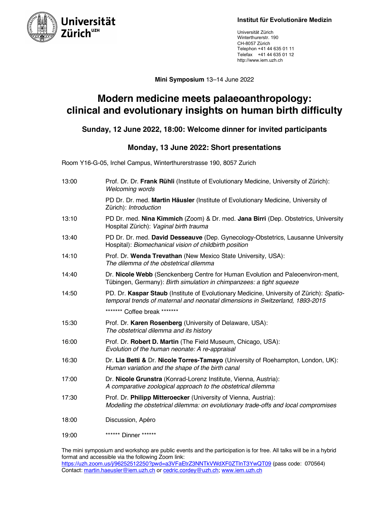

Universität Zürich Winterthurerstr. 190 CH-8057 Zürich Telephon +41 44 635 01 11 Telefax +41 44 635 01 12 http://www.iem.uzh.ch

**Mini Symposium** 13–14 June 2022

## **Modern medicine meets palaeoanthropology: clinical and evolutionary insights on human birth difficulty**

### **Sunday, 12 June 2022, 18:00: Welcome dinner for invited participants**

#### **Monday, 13 June 2022: Short presentations**

Room Y16-G-05, Irchel Campus, Winterthurerstrasse 190, 8057 Zurich

| 13:00 | Prof. Dr. Dr. Frank Rühli (Institute of Evolutionary Medicine, University of Zürich):<br>Welcoming words                                                                  |
|-------|---------------------------------------------------------------------------------------------------------------------------------------------------------------------------|
|       | PD Dr. Dr. med. Martin Häusler (Institute of Evolutionary Medicine, University of<br>Zürich): Introduction                                                                |
| 13:10 | PD Dr. med. Nina Kimmich (Zoom) & Dr. med. Jana Birri (Dep. Obstetrics, University<br>Hospital Zürich): Vaginal birth trauma                                              |
| 13:40 | PD Dr. Dr. med. David Desseauve (Dep. Gynecology-Obstetrics, Lausanne University<br>Hospital): Biomechanical vision of childbirth position                                |
| 14:10 | Prof. Dr. Wenda Trevathan (New Mexico State University, USA):<br>The dilemma of the obstetrical dilemma                                                                   |
| 14:40 | Dr. Nicole Webb (Senckenberg Centre for Human Evolution and Paleoenviron-ment,<br>Tübingen, Germany): Birth simulation in chimpanzees: a tight squeeze                    |
| 14:50 | PD. Dr. Kaspar Staub (Institute of Evolutionary Medicine, University of Zürich): Spatio-<br>temporal trends of maternal and neonatal dimensions in Switzerland, 1893-2015 |
|       | ******* Coffee break *******                                                                                                                                              |
| 15:30 | Prof. Dr. Karen Rosenberg (University of Delaware, USA):<br>The obstetrical dilemma and its history                                                                       |
| 16:00 | Prof. Dr. Robert D. Martin (The Field Museum, Chicago, USA):<br>Evolution of the human neonate: A re-appraisal                                                            |
| 16:30 | Dr. Lia Betti & Dr. Nicole Torres-Tamayo (University of Roehampton, London, UK):<br>Human variation and the shape of the birth canal                                      |
| 17:00 | Dr. Nicole Grunstra (Konrad-Lorenz Institute, Vienna, Austria):<br>A comparative zoological approach to the obstetrical dilemma                                           |
| 17:30 | Prof. Dr. Philipp Mitteroecker (University of Vienna, Austria):<br>Modelling the obstetrical dilemma: on evolutionary trade-offs and local compromises                    |
| 18:00 | Discussion, Apéro                                                                                                                                                         |
| 19:00 | ****** Dinner ******                                                                                                                                                      |

The mini symposium and workshop are public events and the participation is for free. All talks will be in a hybrid format and accessible via the following Zoom link: https://uzh.zoom.us/j/96252512250?pwd=a3VFaEtrZ3NNTkVWdXF0ZTlnT3YwQT09 (pass code: 070564) Contact: martin.haeusler@iem.uzh.ch or cedric.cordey@uzh.ch; www.iem.uzh.ch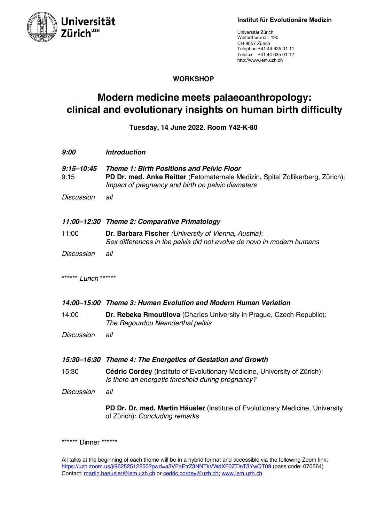



Universität Zürich Winterthurerstr. 190 CH-8057 Zürich Telephon +41 44 635 01 11 Telefax +41 44 635 01 12 http://www.iem.uzh.ch

#### **WORKSHOP**

# **Modern medicine meets palaeoanthropology: clinical and evolutionary insights on human birth difficulty**

**Tuesday, 14 June 2022. Room Y42-K-80**

| 9:00                   | <b>Introduction</b>                                                                                                                                                                     |
|------------------------|-----------------------------------------------------------------------------------------------------------------------------------------------------------------------------------------|
| $9:15 - 10:45$<br>9:15 | <b>Theme 1: Birth Positions and Pelvic Floor</b><br>PD Dr. med. Anke Reitter (Fetomaternale Medizin, Spital Zollikerberg, Zürich):<br>Impact of pregnancy and birth on pelvic diameters |
| <b>Discussion</b>      | all                                                                                                                                                                                     |
|                        | 11:00-12:30 Theme 2: Comparative Primatology                                                                                                                                            |
| 11:00                  | Dr. Barbara Fischer (University of Vienna, Austria):<br>Sex differences in the pelvis did not evolve de novo in modern humans                                                           |
| <b>Discussion</b>      | all                                                                                                                                                                                     |
| ****** Lunch ******    |                                                                                                                                                                                         |
|                        | 14:00–15:00 Theme 3: Human Evolution and Modern Human Variation                                                                                                                         |
| 14:00                  | Dr. Rebeka Rmoutilova (Charles University in Prague, Czech Republic):<br>The Regourdou Neanderthal pelvis                                                                               |
| <b>Discussion</b>      | all                                                                                                                                                                                     |
|                        | 15:30-16:30 Theme 4: The Energetics of Gestation and Growth                                                                                                                             |
| 15:30                  | Cédric Cordey (Institute of Evolutionary Medicine, University of Zürich):<br>Is there an energetic threshold during pregnancy?                                                          |
| <b>Discussion</b>      | all                                                                                                                                                                                     |
|                        | PD Dr. Dr. med. Martin Häusler (Institute of Evolutionary Medicine, University<br>of Zürich): Concluding remarks                                                                        |

\*\*\*\*\*\*\* Dinner \*\*\*\*\*\*\*

All talks at the beginning of each theme will be in a hybrid format and accessible via the following Zoom link: https://uzh.zoom.us/j/96252512250?pwd=a3VFaEtrZ3NNTkVWdXF0ZTlnT3YwQT09 (pass code: 070564) Contact: martin.haeusler@iem.uzh.ch or cedric.cordey@uzh.ch; www.iem.uzh.ch